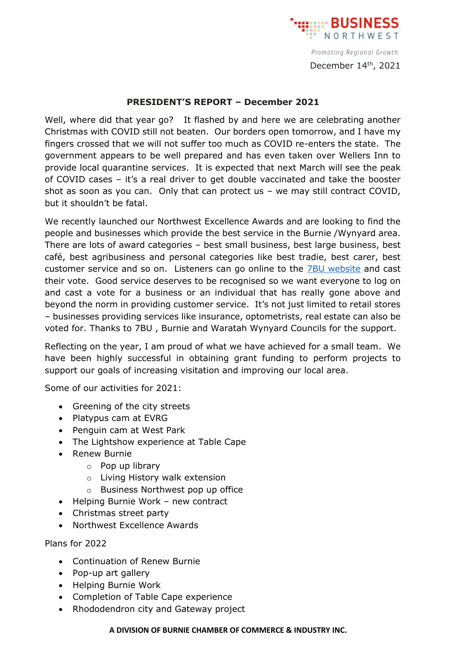

Promoting Regional Growth December 14<sup>th</sup>, 2021

## **PRESIDENT'S REPORT – December 2021**

Well, where did that year go? It flashed by and here we are celebrating another Christmas with COVID still not beaten. Our borders open tomorrow, and I have my fingers crossed that we will not suffer too much as COVID re-enters the state. The government appears to be well prepared and has even taken over Wellers Inn to provide local quarantine services. It is expected that next March will see the peak of COVID cases – it's a real driver to get double vaccinated and take the booster shot as soon as you can. Only that can protect us – we may still contract COVID, but it shouldn't be fatal.

We recently launched our Northwest Excellence Awards and are looking to find the people and businesses which provide the best service in the Burnie /Wynyard area. There are lots of award categories – best small business, best large business, best café, best agribusiness and personal categories like best tradie, best carer, best customer service and so on. Listeners can go online to the **7BU** website and cast their vote. Good service deserves to be recognised so we want everyone to log on and cast a vote for a business or an individual that has really gone above and beyond the norm in providing customer service. It's not just limited to retail stores – businesses providing services like insurance, optometrists, real estate can also be voted for. Thanks to 7BU , Burnie and Waratah Wynyard Councils for the support.

Reflecting on the year, I am proud of what we have achieved for a small team. We have been highly successful in obtaining grant funding to perform projects to support our goals of increasing visitation and improving our local area.

Some of our activities for 2021:

- Greening of the city streets
- Platypus cam at EVRG
- Penguin cam at West Park
- The Lightshow experience at Table Cape
- Renew Burnie
	- o Pop up library
	- o Living History walk extension
	- o Business Northwest pop up office
- Helping Burnie Work new contract
- Christmas street party
- Northwest Excellence Awards

Plans for 2022

- Continuation of Renew Burnie
- Pop-up art gallery
- Helping Burnie Work
- Completion of Table Cape experience
- Rhododendron city and Gateway project

## **A DIVISION OF BURNIE CHAMBER OF COMMERCE & INDUSTRY INC.**